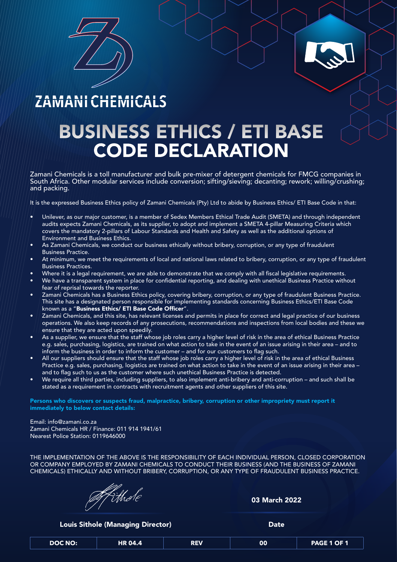

## ZAMANI CHEMICALS

Zamani Chemicals is a toll manufacturer and bulk pre-mixer of detergent chemicals for FMCG companies in South Africa. Other modular services include conversion; sifting/sieving; decanting; rework; willing/crushing; and packing.

It is the expressed Business Ethics policy of Zamani Chemicals (Pty) Ltd to abide by Business Ethics/ ETI Base Code in that:

- Unilever, as our major customer, is a member of Sedex Members Ethical Trade Audit (SMETA) and through independent audits expects Zamani Chemicals, as its supplier, to adopt and implement a SMETA 4-pillar Measuring Criteria which covers the mandatory 2-pillars of Labour Standards and Health and Safety as well as the additional options of Environment and Business Ethics.
- As Zamani Chemicals, we conduct our business ethically without bribery, corruption, or any type of fraudulent Business Practice.
- At minimum, we meet the requirements of local and national laws related to bribery, corruption, or any type of fraudulent Business Practices.
- Where it is a legal requirement, we are able to demonstrate that we comply with all fiscal legislative requirements.
- We have a transparent system in place for confidential reporting, and dealing with unethical Business Practice without fear of reprisal towards the reporter.
- Zamani Chemicals has a Business Ethics policy, covering bribery, corruption, or any type of fraudulent Business Practice. This site has a designated person responsible for implementing standards concerning Business Ethics/ETI Base Code known as a "Business Ethics/ ETI Base Code Officer".
- | Zamani Chemicals, and this site, has relevant licenses and permits in place for correct and legal practice of our business operations. We also keep records of any prosecutions, recommendations and inspections from local bodies and these we ensure that they are acted upon speedily.
- As a supplier, we ensure that the staff whose job roles carry a higher level of risk in the area of ethical Business Practice e.g. sales, purchasing, logistics, are trained on what action to take in the event of an issue arising in their area – and to inform the business in order to inform the customer – and for our customers to flag such.
- All our suppliers should ensure that the staff whose job roles carry a higher level of risk in the area of ethical Business Practice e.g. sales, purchasing, logistics are trained on what action to take in the event of an issue arising in their area – and to flag such to us as the customer where such unethical Business Practice is detected.
- We require all third parties, including suppliers, to also implement anti-bribery and anti-corruption and such shall be stated as a requirement in contracts with recruitment agents and other suppliers of this site.

Persons who discovers or suspects fraud, malpractice, bribery, corruption or other impropriety must report it immediately to below contact details:

#### Email: info@zamani.co.za

Zamani Chemicals HR / Finance: 011 914 1941/61 Nearest Police Station: 0119646000

THE IMPLEMENTATION OF THE ABOVE IS THE RESPONSIBILITY OF EACH INDIVIDUAL PERSON, CLOSED CORPORATION OR COMPANY EMPLOYED BY ZAMANI CHEMICALS TO CONDUCT THEIR BUSINESS (AND THE BUSINESS OF ZAMANI CHEMICALS) ETHICALLY AND WITHOUT BRIBERY, CORRUPTION, OR ANY TYPE OF FRAUDULENT BUSINESS PRACTICE.

Whole

## BUSINESS ETHICS / ETI BASE CODE DECLARATION

03 March 2022

**Louis Sithole (Managing Director) Show Branch Control Control Cate Control Control Cate Control Control Cate C** 

| <b>DOC NO:</b> | <b>HR 04.4</b> | <b>REV</b> | 00 | PAGE 1 OF 1 |
|----------------|----------------|------------|----|-------------|
|                |                |            |    |             |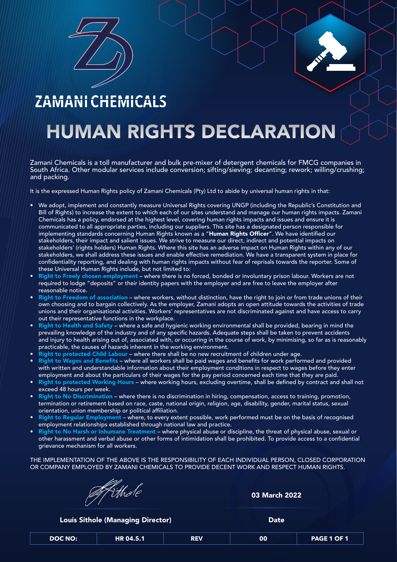

## ZAMANICHEMICALS

# HUMAN RIGHTS DECLARATION

Zamani Chemicals is a toll manufacturer and bulk pre-mixer of detergent chemicals for FMCG companies in South Africa. Other modular services include conversion; sifting/sieving; decanting; rework; willing/crushing; and packing.

It is the expressed Human Rights policy of Zamani Chemicals (Pty) Ltd to abide by universal human rights in that:

- $\blacktriangleright\parallel$  We adopt, implement and constantly measure Universal Rights covering UNGP (including the Republic's Constitution and Bill of Rights) to increase the extent to which each of our sites understand and manage our human rights impacts. Zamani Chemicals has a policy, endorsed at the highest level, covering human rights impacts and issues and ensure it is communicated to all appropriate parties, including our suppliers. This site has a designated person responsible for implementing standards concerning Human Rights known as a "Human Rights Officer". We have identified our stakeholders, their impact and salient issues. We strive to measure our direct, indirect and potential impacts on stakeholders' (rights holders) Human Rights. Where this site has an adverse impact on Human Rights within any of our stakeholders, we shall address these issues and enable effective remediation. We have a transparent system in place for confidentiality reporting, and dealing with human rights impacts without fear of reprisals towards the reporter. Some of these Universal Human Rights include, but not limited to:
- Right to Freely chosen employment where there is no forced, bonded or involuntary prison labour. Workers are not required to lodge "deposits" or their identity papers with the employer and are free to leave the employer after reasonable notice.
- Right to Freedom of association where workers, without distinction, have the right to join or from trade unions of their own choosing and to bargain collectively. As the employer, Zamani adopts an open attitude towards the activities of trade unions and their organisational activities. Workers' representatives are not discriminated against and have access to carry out their representative functions in the workplace.
- Right to Health and Safety where a safe and hygienic working environmental shall be provided, bearing in mind the prevailing knowledge of the industry and of any specific hazards. Adequate steps shall be taken to prevent accidents and injury to health arising out of, associated with, or occurring in the course of work, by minimising, so far as is reasonably practicable, the causes of hazards inherent in the working environment.
- Right to protected Child Labour where there shall be no new recruitment of children under age.
- Right to Wages and Benefits where all workers shall be paid wages and benefits for work performed and provided with written and understandable information about their employment conditions in respect to wages before they enter employment and about the particulars of their wages for the pay period concerned each time that they are paid.
- Right to protected Working Hours where working hours, excluding overtime, shall be defined by contract and shall not exceed 48 hours per week.
- Right to No Discrimination where there is no discrimination in hiring, compensation, access to training, promotion, termination or retirement based on race, caste, national origin, religion, age, disability, gender, marital status, sexual orientation, union membership or political affiliation.
- Right to Regular Employment where, to every extent possible, work performed must be on the basis of recognised employment relationships established through national law and practice.
- Right to No Harsh or Inhumane Treatment where physical abuse or discipline, the threat of physical abuse, sexual or other harassment and verbal abuse or other forms of intimidation shall be prohibited. To provide access to a confidential grievance mechanism for all workers.

THE IMPLEMENTATION OF THE ABOVE IS THE RESPONSIBILITY OF EACH INDIVIDUAL PERSON, CLOSED CORPORATION OR COMPANY EMPLOYED BY ZAMANI CHEMICALS TO PROVIDE DECENT WORK AND RESPECT HUMAN RIGHTS.



03 March 2022

**Louis Sithole (Managing Director) Communist Communist Contract Contract Contract Contract Contract Contract Contract Contract Contract Contract Contract Contract Contract Contract Contract Contract Contract Contract Con** 

| <b>DOC NO:</b><br>HR 04.5.1 | <b>REV</b> | 00 | PAGE 1 OF 1 |
|-----------------------------|------------|----|-------------|
|-----------------------------|------------|----|-------------|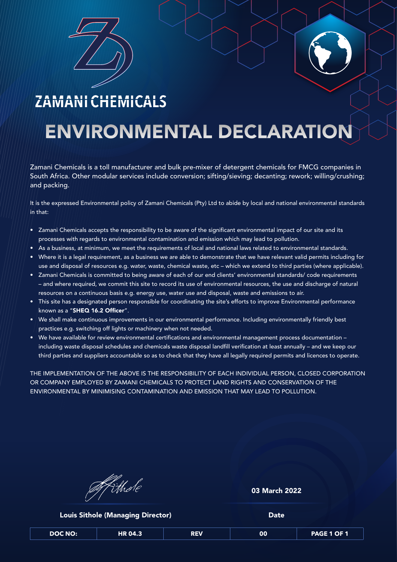

### ZAMANICHEMICALS

## ENVIRONMENTAL DECLARATION

Zamani Chemicals is a toll manufacturer and bulk pre-mixer of detergent chemicals for FMCG companies in South Africa. Other modular services include conversion; sifting/sieving; decanting; rework; willing/crushing; and packing.

It is the expressed Environmental policy of Zamani Chemicals (Pty) Ltd to abide by local and national environmental standards in that:

- Zamani Chemicals accepts the responsibility to be aware of the significant environmental impact of our site and its processes with regards to environmental contamination and emission which may lead to pollution.
- As a business, at minimum, we meet the requirements of local and national laws related to environmental standards.
- Where it is a legal requirement, as a business we are able to demonstrate that we have relevant valid permits including for use and disposal of resources e.g. water, waste, chemical waste, etc – which we extend to third parties (where applicable).
- Zamani Chemicals is committed to being aware of each of our end clients' environmental standards/ code requirements – and where required, we commit this site to record its use of environmental resources, the use and discharge of natural resources on a continuous basis e.g. energy use, water use and disposal, waste and emissions to air.
- This site has a designated person responsible for coordinating the site's efforts to improve Environmental performance known as a "SHEQ 16.2 Officer".
- We shall make continuous improvements in our environmental performance. Including environmentally friendly best practices e.g. switching off lights or machinery when not needed.
- We have available for review environmental certifications and environmental management process documentation including waste disposal schedules and chemicals waste disposal landfill verification at least annually – and we keep our third parties and suppliers accountable so as to check that they have all legally required permits and licences to operate.

THE IMPLEMENTATION OF THE ABOVE IS THE RESPONSIBILITY OF EACH INDIVIDUAL PERSON, CLOSED CORPORATION OR COMPANY EMPLOYED BY ZAMANI CHEMICALS TO PROTECT LAND RIGHTS AND CONSERVATION OF THE ENVIRONMENTAL BY MINIMISING CONTAMINATION AND EMISSION THAT MAY LEAD TO POLLUTION.

| Afithole |  |
|----------|--|

| <b>Louis Sithole (Managing Director)</b> | <b>Date</b> |
|------------------------------------------|-------------|
|                                          |             |

### 03 March 2022

| DOC NO: | <b>HR 04.3</b> | REV | 00 | PAGE 1 OF 1 |
|---------|----------------|-----|----|-------------|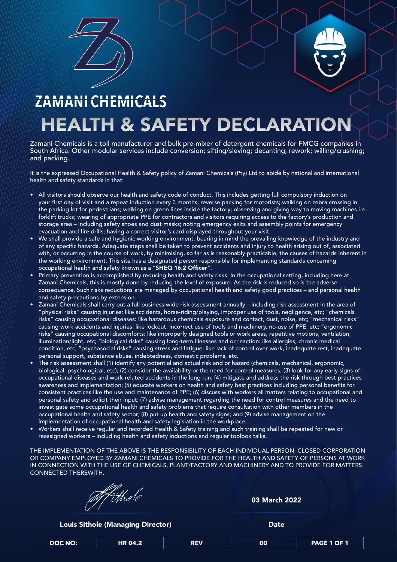

# ZAMANICHEMICALS HEALTH & SAFETY DECLARATION

Zamani Chemicals is a toll manufacturer and bulk pre-mixer of detergent chemicals for FMCG companies in South Africa. Other modular services include conversion; sifting/sieving; decanting; rework; willing/crushing; and packing.

It is the expressed Occupational Health & Safety policy of Zamani Chemicals (Pty) Ltd to abide by national and international health and safety standards in that:

 $\blacklozenge$  All visitors should observe our health and safety code of conduct. This includes getting full compulsory induction on your first day of visit and a repeat induction every 3 months; reverse packing for motorists; walking on zebra crossing in the parking lot for pedestrians; walking on green lines inside the factory; observing and giving way to moving machines i.e.

forklift trucks; wearing of appropriate PPE for contractors and visitors requiring access to the factory's production and storage area – including safety shoes and dust masks; noting emergency exits and assembly points for emergency evacuation and fire drills; having a correct visitor's card displayed throughout your visit.

- We shall provide a safe and hygienic working environment, bearing in mind the prevailing knowledge of the industry and of any specific hazards. Adequate steps shall be taken to prevent accidents and injury to health arising out of, associated with, or occurring in the course of work, by minimising, so far as is reasonably practicable, the causes of hazards inherent in the working environment. This site has a designated person responsible for implementing standards concerning occupational health and safety known as a "SHEQ 16.2 Officer".
- Primary prevention is accomplished by reducing health and safety risks. In the occupational setting, including here at Zamani Chemicals, this is mostly done by reducing the level of exposure. As the risk is reduced so is the adverse consequence. Such risks reductions are managed by occupational health and safety good practices – and personal health and safety precautions by extension.
- Zamani Chemicals shall carry out a full business-wide risk assessment annually including risk assessment in the area of "physical risks" causing injuries: like accidents, horse-riding/playing, improper use of tools, negligence, etc; "chemicals risks" causing occupational diseases: like hazardous chemicals exposure and contact, dust, noise, etc; "mechanical risks" causing work accidents and injuries: like lockout, incorrect use of tools and machinery, no-use of PPE, etc; "ergonomic risks" causing occupational discomforts: like improperly designed tools or work areas, repetitive motions, ventilation, illumination/light, etc; "biological risks" causing long-term illnesses and or reaction: like allergies, chronic medical condition, etc; "psychosocial risks" causing stress and fatigue: like lack of control over work, inadequate rest, inadequate personal support, substance abuse, indebtedness, domestic problems, etc.
- The risk assessment shall (1) identify any potential and actual risk and or hazard (chemicals, mechanical, ergonomic, biological, psychological, etc); (2) consider the availability or the need for control measures; (3) look for any early signs of occupational diseases and work-related accidents in the long run; (4) mitigate and address the risk through best practices awareness and implementation; (5) educate workers on health and safety best practices including personal benefits for consistent practices like the use and maintenance of PPE; (6) discuss with workers all matters relating to occupational and personal safety and solicit their input; (7) advise management regarding the need for control measures and the need to investigate some occupational health and safety problems that require consultation with other members in the occupational health and safety sector; (8) put up health and safety signs; and (9) advise management on the implementation of occupational health and safety legislation in the workplace.
- Workers shall receive regular and recorded Health & Safety training and such training shall be repeated for new or reassigned workers – including health and safety inductions and regular toolbox talks.

THE IMPLEMENTATION OF THE ABOVE IS THE RESPONSIBILITY OF EACH INDIVIDUAL PERSON, CLOSED CORPORATION OR COMPANY EMPLOYED BY ZAMANI CHEMICALS TO PROVIDE FOR THE HEALTH AND SAFETY OF PERSONS AT WORK IN CONNECTION WITH THE USE OF CHEMICALS, PLANT/FACTORY AND MACHINERY AND TO PROVIDE FOR MATTERS CONNECTED THEREWITH.



03 March 2022

**Louis Sithole (Managing Director) Communist Communist Contract Contract Contract Contract Contract Contract Contract Contract Contract Contract Contract Contract Contract Contract Contract Contract Contract Contract Con** 

| <b>DOC NO:</b> | <b>HR 04.2</b> | <b>REV</b> | 00 | PAGE 1 OF 1 |
|----------------|----------------|------------|----|-------------|
|                |                |            |    |             |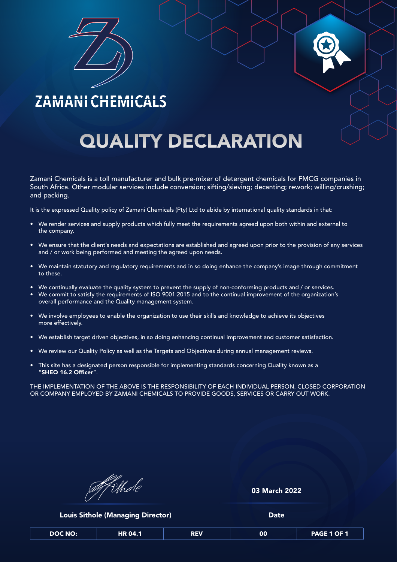

## ZAMANI CHEMICALS

# **QUALITY DECLARATION**

Zamani Chemicals is a toll manufacturer and bulk pre-mixer of detergent chemicals for FMCG companies in South Africa. Other modular services include conversion; sifting/sieving; decanting; rework; willing/crushing; and packing.

It is the expressed Quality policy of Zamani Chemicals (Pty) Ltd to abide by international quality standards in that:

- 
- We render services and supply products which fully meet the requirements agreed upon both within and external to the company.
- We ensure that the client's needs and expectations are established and agreed upon prior to the provision of any services and / or work being performed and meeting the agreed upon needs.
- We maintain statutory and regulatory requirements and in so doing enhance the company's image through commitment to these.
- We continually evaluate the quality system to prevent the supply of non-conforming products and / or services.
- We commit to satisfy the requirements of ISO 9001:2015 and to the continual improvement of the organization's overall performance and the Quality management system.
- We involve employees to enable the organization to use their skills and knowledge to achieve its objectives more effectively.
- We establish target driven objectives, in so doing enhancing continual improvement and customer satisfaction.
- We review our Quality Policy as well as the Targets and Objectives during annual management reviews.
- This site has a designated person responsible for implementing standards concerning Quality known as a "SHEQ 16.2 Officer".

THE IMPLEMENTATION OF THE ABOVE IS THE RESPONSIBILITY OF EACH INDIVIDUAL PERSON, CLOSED CORPORATION OR COMPANY EMPLOYED BY ZAMANI CHEMICALS TO PROVIDE GOODS, SERVICES OR CARRY OUT WORK.

| Mithole |
|---------|
|         |
|         |

| <b>Louis Sithole (Managing Director)</b> | <b>Date</b> |
|------------------------------------------|-------------|
|                                          |             |

### 03 March 2022

| <b>DOC NO:</b> | <b>HR 04.1</b> | <b>REV</b> | 00 | <b>PAGE 1 OF 1</b> |
|----------------|----------------|------------|----|--------------------|